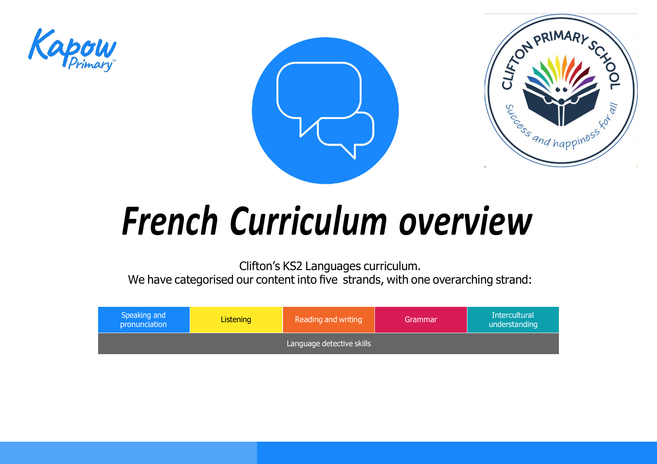





# *French Curriculum overview*

Clifton's KS2 Languages curriculum. We have categorised our content into five strands, with one overarching strand:

<span id="page-0-0"></span>

| Speaking and<br>pronunciation | <b>Reading and writing</b><br><b>Listening</b><br>Grammar |  |  |  |
|-------------------------------|-----------------------------------------------------------|--|--|--|
|                               |                                                           |  |  |  |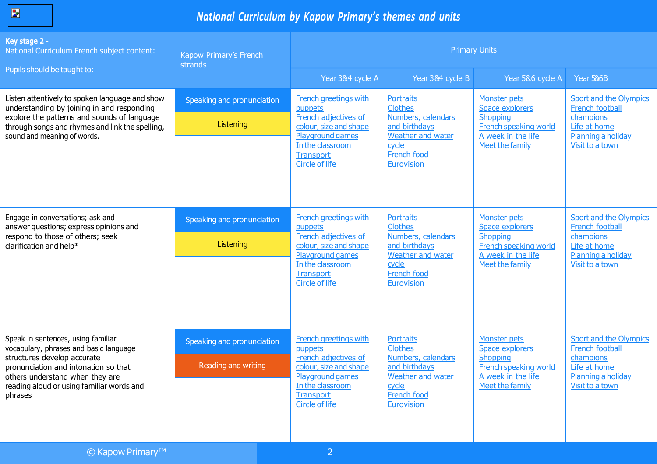| <b>Contract Contract Contract Contract Contract Contract Contract Contract Contract Contract Contract Contract Co</b> |
|-----------------------------------------------------------------------------------------------------------------------|
|-----------------------------------------------------------------------------------------------------------------------|

| Key stage 2 -<br>National Curriculum French subject content:                                                                              | Kapow Primary's French<br>strands | <b>Primary Units</b>                                                                                               |                                                                                               |                                                                       |                                                               |  |
|-------------------------------------------------------------------------------------------------------------------------------------------|-----------------------------------|--------------------------------------------------------------------------------------------------------------------|-----------------------------------------------------------------------------------------------|-----------------------------------------------------------------------|---------------------------------------------------------------|--|
| Pupils should be taught to:                                                                                                               |                                   | Year 3&4 cycle A                                                                                                   | Year 3&4 cycle B                                                                              | Year 5&6 cycle A                                                      | Year 586B                                                     |  |
| Listen attentively to spoken language and show<br>understanding by joining in and responding                                              | Speaking and pronunciation        | <b>French greetings with</b><br>puppets                                                                            | <b>Portraits</b><br><b>Clothes</b>                                                            | Monster pets<br><b>Space explorers</b>                                | <b>Sport and the Olympics</b><br><b>French football</b>       |  |
| explore the patterns and sounds of language<br>through songs and rhymes and link the spelling,<br>sound and meaning of words.             | Listening                         | French adjectives of<br>colour, size and shape<br>Playground games                                                 | Numbers, calendars<br>and birthdays<br>Weather and water                                      | <b>Shopping</b><br><b>French speaking world</b><br>A week in the life | champions<br>Life at home<br>Planning a holiday               |  |
|                                                                                                                                           |                                   | In the classroom<br><b>Transport</b><br><b>Circle of life</b>                                                      | cycle<br>French food<br><b>Eurovision</b>                                                     | Meet the family                                                       | Visit to a town                                               |  |
| Engage in conversations; ask and<br>answer questions; express opinions and<br>respond to those of others; seek<br>clarification and help* | Speaking and pronunciation        | <b>French greetings with</b><br>puppets                                                                            | <b>Portraits</b><br><b>Clothes</b>                                                            | Monster pets<br><b>Space explorers</b>                                | <b>Sport and the Olympics</b><br><b>French football</b>       |  |
|                                                                                                                                           | Listening                         | French adjectives of<br>colour, size and shape<br><b>Playground games</b>                                          | Numbers, calendars<br>and birthdays<br>Weather and water                                      | <b>Shopping</b><br>French speaking world<br>A week in the life        | champions<br>Life at home<br>Planning a holiday               |  |
|                                                                                                                                           |                                   | In the classroom<br><b>Transport</b><br><b>Circle of life</b>                                                      | cycle<br>French food<br><b>Eurovision</b>                                                     | Meet the family                                                       | Visit to a town                                               |  |
| Speak in sentences, using familiar<br>vocabulary, phrases and basic language<br>structures develop accurate                               | Speaking and pronunciation        | <b>French greetings with</b><br>puppets<br>French adjectives of                                                    | <b>Portraits</b><br><b>Clothes</b><br>Numbers, calendars                                      | <b>Monster pets</b><br>Space explorers<br><b>Shopping</b>             | <b>Sport and the Olympics</b><br>French football<br>champions |  |
| pronunciation and intonation so that<br>others understand when they are<br>reading aloud or using familiar words and<br>phrases           | Reading and writing               | colour, size and shape<br><b>Playground games</b><br><u>In the classroom</u><br><b>Transport</b><br>Circle of life | and birthdays<br>Weather and water<br><u>cycle</u><br><b>French food</b><br><b>Eurovision</b> | French speaking world<br>A week in the life<br><u>Meet the family</u> | Life at home<br>Planning a holiday<br><u>Visit to a town</u>  |  |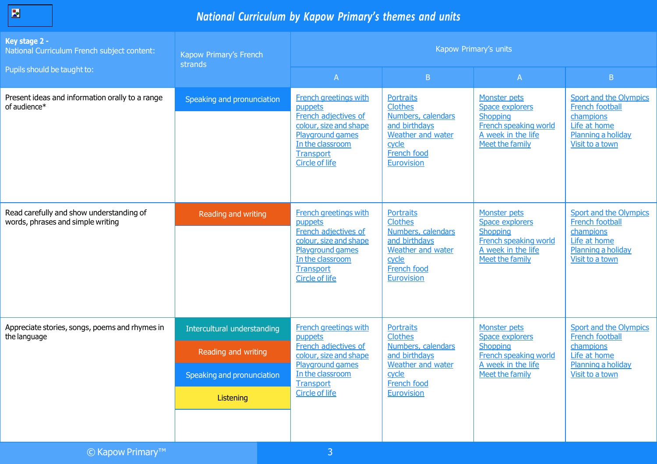| ___<br><b>Contract Contract Contract Contract Contract Contract Contract Contract Contract Contract Contract Contract Co</b> |
|------------------------------------------------------------------------------------------------------------------------------|
|                                                                                                                              |

| Key stage 2 -<br>National Curriculum French subject content:                  | Kapow Primary's French<br>strands                                                             |                                                                                                                                                                                | Kapow Primary's units                                                                                                                              |                                                                                                                      |                                                                                                                               |
|-------------------------------------------------------------------------------|-----------------------------------------------------------------------------------------------|--------------------------------------------------------------------------------------------------------------------------------------------------------------------------------|----------------------------------------------------------------------------------------------------------------------------------------------------|----------------------------------------------------------------------------------------------------------------------|-------------------------------------------------------------------------------------------------------------------------------|
| Pupils should be taught to:                                                   |                                                                                               | $\mathsf{A}$                                                                                                                                                                   | B                                                                                                                                                  | $\mathsf{A}$                                                                                                         | B                                                                                                                             |
| Present ideas and information orally to a range<br>of audience*               | Speaking and pronunciation                                                                    | <b>French greetings with</b><br>puppets<br>French adjectives of<br>colour, size and shape<br>Playground games<br>In the classroom<br><b>Transport</b><br><b>Circle of life</b> | <b>Portraits</b><br><b>Clothes</b><br>Numbers, calendars<br>and birthdays<br>Weather and water<br>cycle<br>French food<br><b>Eurovision</b>        | Monster pets<br>Space explorers<br>Shopping<br>French speaking world<br>A week in the life<br>Meet the family        | <b>Sport and the Olympics</b><br><b>French football</b><br>champions<br>Life at home<br>Planning a holiday<br>Visit to a town |
| Read carefully and show understanding of<br>words, phrases and simple writing | Reading and writing                                                                           | French greetings with<br>puppets<br>French adjectives of<br>colour, size and shape<br>Playground games<br>In the classroom<br>Transport<br><b>Circle of life</b>               | <b>Portraits</b><br><b>Clothes</b><br>Numbers, calendars<br>and birthdays<br>Weather and water<br>cycle<br><b>French food</b><br><b>Eurovision</b> | Monster pets<br><b>Space explorers</b><br>Shopping<br>French speaking world<br>A week in the life<br>Meet the family | <b>Sport and the Olympics</b><br>French football<br>champions<br>Life at home<br>Planning a holiday<br>Visit to a town        |
| Appreciate stories, songs, poems and rhymes in<br>the language                | Intercultural understanding<br>Reading and writing<br>Speaking and pronunciation<br>Listening | <b>French greetings with</b><br>puppets<br>French adjectives of<br>colour, size and shape<br>Playground games<br>In the classroom<br><b>Transport</b><br><b>Circle of life</b> | <b>Portraits</b><br><b>Clothes</b><br>Numbers, calendars<br>and birthdays<br>Weather and water<br>cycle<br><b>French food</b><br><b>Eurovision</b> | Monster pets<br>Space explorers<br><b>Shopping</b><br>French speaking world<br>A week in the life<br>Meet the family | Sport and the Olympics<br>French football<br>champions<br>Life at home<br>Planning a holiday<br>Visit to a town               |
| $\sim$ 12.1<br><b>COLLE</b><br>T <sub>DA</sub>                                |                                                                                               |                                                                                                                                                                                |                                                                                                                                                    |                                                                                                                      |                                                                                                                               |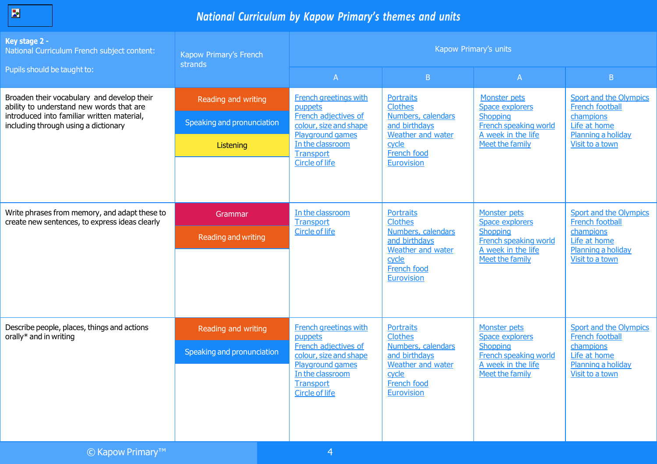| <b>Service Service Service Service Service</b> |
|------------------------------------------------|
|------------------------------------------------|

| Key stage 2 -<br>National Curriculum French subject content:                                    | Kapow Primary's French<br>strands | Kapow Primary's units                                                     |                                                                                                |                                                                            |                                                                    |  |
|-------------------------------------------------------------------------------------------------|-----------------------------------|---------------------------------------------------------------------------|------------------------------------------------------------------------------------------------|----------------------------------------------------------------------------|--------------------------------------------------------------------|--|
| Pupils should be taught to:                                                                     |                                   | $\mathsf{A}$                                                              | B                                                                                              | $\mathsf{A}$                                                               | B                                                                  |  |
| Broaden their vocabulary and develop their<br>ability to understand new words that are          | Reading and writing               | <b>French greetings with</b><br>puppets                                   | <b>Portraits</b><br><b>Clothes</b>                                                             | <b>Monster pets</b><br>Space explorers                                     | <b>Sport and the Olympics</b><br><b>French football</b>            |  |
| introduced into familiar written material,<br>including through using a dictionary              | Speaking and pronunciation        | French adjectives of<br>colour, size and shape<br>Playground games        | Numbers, calendars<br>and birthdays<br>Weather and water<br>cycle<br>French food               | Shopping<br><b>French speaking world</b><br>A week in the life             | champions<br>Life at home<br>Planning a holiday<br>Visit to a town |  |
|                                                                                                 | Listening                         | In the classroom<br><b>Transport</b>                                      |                                                                                                | Meet the family                                                            |                                                                    |  |
|                                                                                                 |                                   | <b>Circle of life</b>                                                     | <b>Eurovision</b>                                                                              |                                                                            |                                                                    |  |
|                                                                                                 |                                   |                                                                           |                                                                                                |                                                                            |                                                                    |  |
| Write phrases from memory, and adapt these to<br>create new sentences, to express ideas clearly | Grammar                           | In the classroom<br><b>Transport</b>                                      | <b>Portraits</b><br><b>Clothes</b>                                                             | Monster pets<br>Space explorers                                            | Sport and the Olympics<br>French football                          |  |
|                                                                                                 | Reading and writing               | <b>Circle of life</b>                                                     | Numbers, calendars<br>and birthdays<br>Weather and water<br>cycle<br>French food<br>Eurovision | Shopping<br>French speaking world<br>A week in the life<br>Meet the family | champions<br>Life at home<br>Planning a holiday<br>Visit to a town |  |
| Describe people, places, things and actions<br>orally* and in writing                           | Reading and writing               | <b>French greetings with</b><br>puppets                                   | <b>Portraits</b><br><b>Clothes</b>                                                             | Monster pets<br>Space explorers                                            | Sport and the Olympics<br>French football                          |  |
|                                                                                                 | Speaking and pronunciation        | French adjectives of<br>colour, size and shape<br><b>Playground games</b> | Numbers, calendars<br>and birthdays<br>Weather and water                                       | <b>Shopping</b><br><b>French speaking world</b><br>A week in the life      | champions<br>Life at home<br>Planning a holiday                    |  |
|                                                                                                 |                                   | In the classroom<br><b>Transport</b><br>Circle of life                    | cycle<br>French food<br><b>Eurovision</b>                                                      | Meet the family                                                            | Visit to a town                                                    |  |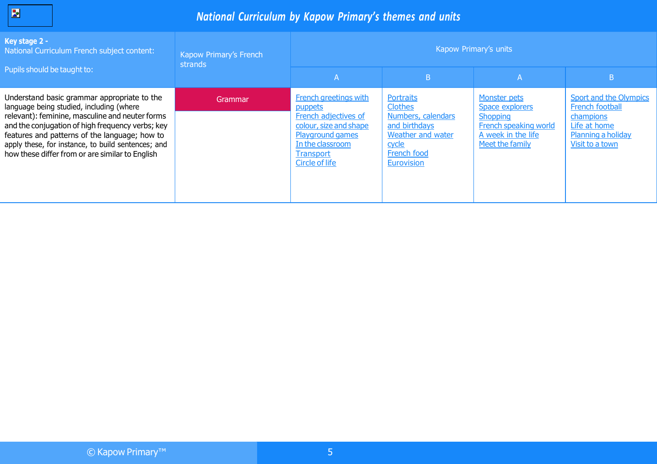| <b>Service Service</b> |
|------------------------|
|------------------------|

| Key stage 2 -<br>National Curriculum French subject content:                                                                                                                                                                                                                                                                                             | Kapow Primary's French<br>strands |                                                                                                                                                                                |                                                                                                                                                    | Kapow Primary's units                                                                                                       |                                                                                                                               |
|----------------------------------------------------------------------------------------------------------------------------------------------------------------------------------------------------------------------------------------------------------------------------------------------------------------------------------------------------------|-----------------------------------|--------------------------------------------------------------------------------------------------------------------------------------------------------------------------------|----------------------------------------------------------------------------------------------------------------------------------------------------|-----------------------------------------------------------------------------------------------------------------------------|-------------------------------------------------------------------------------------------------------------------------------|
| Pupils should be taught to:                                                                                                                                                                                                                                                                                                                              |                                   | A                                                                                                                                                                              | B                                                                                                                                                  | A                                                                                                                           | B                                                                                                                             |
| Understand basic grammar appropriate to the<br>language being studied, including (where<br>relevant): feminine, masculine and neuter forms<br>and the conjugation of high frequency verbs; key<br>features and patterns of the language; how to<br>apply these, for instance, to build sentences; and<br>how these differ from or are similar to English | Grammar                           | <b>French greetings with</b><br>puppets<br>French adjectives of<br>colour, size and shape<br><b>Playground games</b><br>In the classroom<br><b>Transport</b><br>Circle of life | Portraits<br><b>Clothes</b><br>Numbers, calendars<br>and birthdays<br><b>Weather and water</b><br>cycle<br><b>French food</b><br><b>Eurovision</b> | <b>Monster pets</b><br>Space explorers<br>Shopping<br><b>French speaking world</b><br>A week in the life<br>Meet the family | <b>Sport and the Olympics</b><br><b>French football</b><br>champions<br>Life at home<br>Planning a holiday<br>Visit to a town |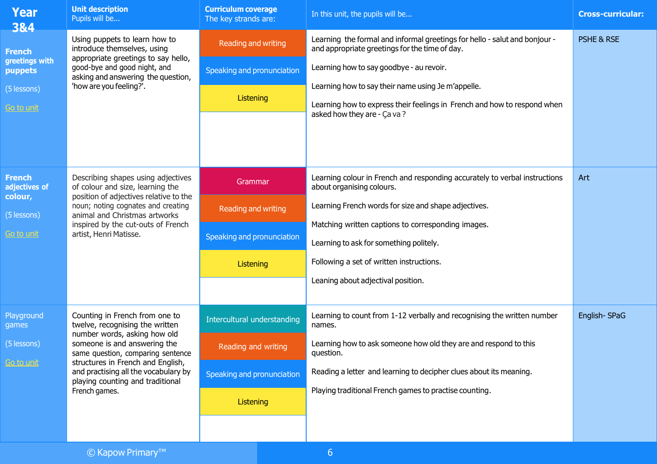| Year<br>3&4                               | <b>Unit description</b><br>Pupils will be                                                                                                                                     | <b>Curriculum coverage</b><br>The key strands are: | In this unit, the pupils will be                                                                                             | <b>Cross-curricular:</b>                           |  |
|-------------------------------------------|-------------------------------------------------------------------------------------------------------------------------------------------------------------------------------|----------------------------------------------------|------------------------------------------------------------------------------------------------------------------------------|----------------------------------------------------|--|
| <b>French</b>                             | Using puppets to learn how to<br>introduce themselves, using<br>appropriate greetings to say hello,                                                                           | Reading and writing                                | Learning the formal and informal greetings for hello - salut and bonjour -<br>and appropriate greetings for the time of day. | <b>PSHE &amp; RSE</b>                              |  |
| greetings with<br>puppets                 | good-bye and good night, and<br>asking and answering the question,<br>'how are you feeling?'.                                                                                 |                                                    | Speaking and pronunciation                                                                                                   | Learning how to say goodbye - au revoir.           |  |
| (5 lessons)                               |                                                                                                                                                                               |                                                    | Listening                                                                                                                    | Learning how to say their name using Je m'appelle. |  |
| <u>Go to unit</u>                         |                                                                                                                                                                               |                                                    | Learning how to express their feelings in French and how to respond when<br>asked how they are - Ça va?                      |                                                    |  |
|                                           |                                                                                                                                                                               |                                                    |                                                                                                                              |                                                    |  |
|                                           |                                                                                                                                                                               |                                                    |                                                                                                                              |                                                    |  |
| <b>French</b><br>adjectives of<br>colour, | Describing shapes using adjectives<br>of colour and size, learning the                                                                                                        | Grammar                                            | Learning colour in French and responding accurately to verbal instructions<br>about organising colours.                      | Art                                                |  |
| (5 lessons)                               | position of adjectives relative to the<br>noun; noting cognates and creating<br>animal and Christmas artworks<br>inspired by the cut-outs of French<br>artist, Henri Matisse. | Reading and writing                                | Learning French words for size and shape adjectives.                                                                         |                                                    |  |
| <u>Go to unit</u>                         |                                                                                                                                                                               |                                                    | Matching written captions to corresponding images.                                                                           |                                                    |  |
|                                           |                                                                                                                                                                               | Speaking and pronunciation                         | Learning to ask for something politely.                                                                                      |                                                    |  |
|                                           |                                                                                                                                                                               | <b>Listening</b>                                   | Following a set of written instructions.                                                                                     |                                                    |  |
|                                           |                                                                                                                                                                               |                                                    | Leaning about adjectival position.                                                                                           |                                                    |  |
|                                           |                                                                                                                                                                               |                                                    |                                                                                                                              |                                                    |  |
| Playground<br>games                       | Counting in French from one to<br>twelve, recognising the written<br>number words, asking how old                                                                             | Intercultural understanding                        | Learning to count from 1-12 verbally and recognising the written number<br>names.                                            | English-SPaG                                       |  |
| (5 lessons)                               | someone is and answering the<br>same question, comparing sentence                                                                                                             | Reading and writing                                | Learning how to ask someone how old they are and respond to this<br>question.                                                |                                                    |  |
| Go to unit                                | structures in French and English,<br>and practising all the vocabulary by<br>playing counting and traditional                                                                 | Speaking and pronunciation                         | Reading a letter and learning to decipher clues about its meaning.                                                           |                                                    |  |
|                                           | French games.                                                                                                                                                                 | Listening                                          | Playing traditional French games to practise counting.                                                                       |                                                    |  |
|                                           |                                                                                                                                                                               |                                                    |                                                                                                                              |                                                    |  |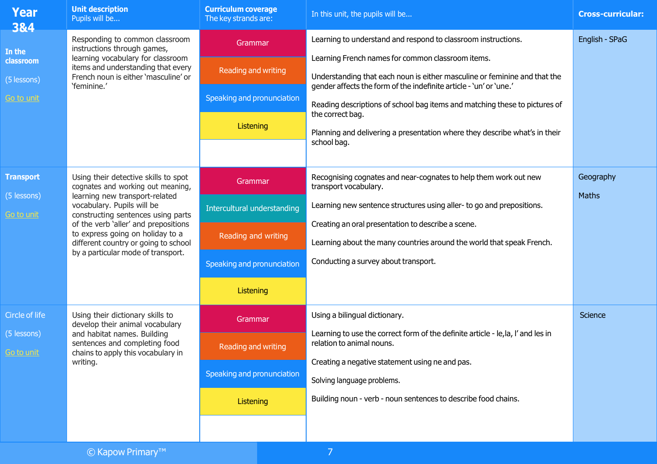| <b>Year</b><br>3&4                                   | <b>Unit description</b><br>Pupils will be                                                                                                                                                                                                                                                                                                 | <b>Curriculum coverage</b><br>The key strands are:                                                       | In this unit, the pupils will be                                                                                                                                                                                                                                                                                                               | <b>Cross-curricular:</b>  |
|------------------------------------------------------|-------------------------------------------------------------------------------------------------------------------------------------------------------------------------------------------------------------------------------------------------------------------------------------------------------------------------------------------|----------------------------------------------------------------------------------------------------------|------------------------------------------------------------------------------------------------------------------------------------------------------------------------------------------------------------------------------------------------------------------------------------------------------------------------------------------------|---------------------------|
| In the<br>classroom                                  | Responding to common classroom<br>instructions through games,<br>learning vocabulary for classroom<br>items and understanding that every                                                                                                                                                                                                  | Grammar                                                                                                  | Learning to understand and respond to classroom instructions.<br>Learning French names for common classroom items.                                                                                                                                                                                                                             | English - SPaG            |
| (5 lessons)<br>Go to unit                            | French noun is either 'masculine' or<br>'feminine.'                                                                                                                                                                                                                                                                                       | Reading and writing<br>Speaking and pronunciation<br>Listening                                           | Understanding that each noun is either masculine or feminine and that the<br>gender affects the form of the indefinite article - 'un' or 'une.'<br>Reading descriptions of school bag items and matching these to pictures of<br>the correct bag.<br>Planning and delivering a presentation where they describe what's in their<br>school bag. |                           |
| <b>Transport</b><br>(5 lessons)<br><u>Go to unit</u> | Using their detective skills to spot<br>cognates and working out meaning,<br>learning new transport-related<br>vocabulary. Pupils will be<br>constructing sentences using parts<br>of the verb 'aller' and prepositions<br>to express going on holiday to a<br>different country or going to school<br>by a particular mode of transport. | Grammar<br>Intercultural understanding<br>Reading and writing<br>Speaking and pronunciation<br>Listening | Recognising cognates and near-cognates to help them work out new<br>transport vocabulary.<br>Learning new sentence structures using aller- to go and prepositions.<br>Creating an oral presentation to describe a scene.<br>Learning about the many countries around the world that speak French.<br>Conducting a survey about transport.      | Geography<br><b>Maths</b> |
| Circle of life<br>$(5$ lessons)<br>Go to unit.       | Using their dictionary skills to<br>develop their animal vocabulary<br>and habitat names. Building<br>sentences and completing food<br>chains to apply this vocabulary in<br>writing.                                                                                                                                                     | Grammar<br><b>Reading and writing</b><br>Speaking and pronunciation<br>Listening                         | Using a bilingual dictionary.<br>Learning to use the correct form of the definite article - le, la, I' and les in<br>relation to animal nouns.<br>Creating a negative statement using ne and pas.<br>Solving language problems.<br>Building noun - verb - noun sentences to describe food chains.                                              | Science                   |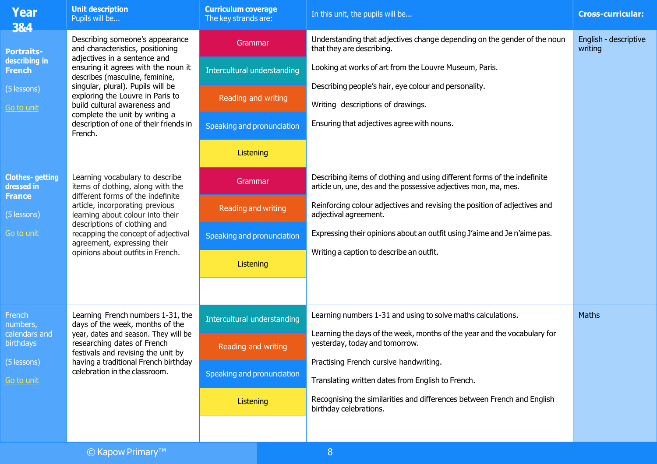| <b>Year</b><br>3&4                                                                      | <b>Unit description</b><br>Pupils will be                                                                                                                                                                                                                                                                                                                                     | <b>Curriculum coverage</b><br>The key strands are:                                                              | In this unit, the pupils will be                                                                                                                                                                                                                                                                                                                                               | <b>Cross-curricular:</b>         |
|-----------------------------------------------------------------------------------------|-------------------------------------------------------------------------------------------------------------------------------------------------------------------------------------------------------------------------------------------------------------------------------------------------------------------------------------------------------------------------------|-----------------------------------------------------------------------------------------------------------------|--------------------------------------------------------------------------------------------------------------------------------------------------------------------------------------------------------------------------------------------------------------------------------------------------------------------------------------------------------------------------------|----------------------------------|
| <b>Portraits-</b><br>describing in<br><b>French</b><br>(5 lessons)<br><u>Go to unit</u> | Describing someone's appearance<br>and characteristics, positioning<br>adjectives in a sentence and<br>ensuring it agrees with the noun it<br>describes (masculine, feminine,<br>singular, plural). Pupils will be<br>exploring the Louvre in Paris to<br>build cultural awareness and<br>complete the unit by writing a<br>description of one of their friends in<br>French. | Grammar<br>Intercultural understanding<br><b>Reading and writing</b><br>Speaking and pronunciation<br>Listening | Understanding that adjectives change depending on the gender of the noun<br>that they are describing.<br>Looking at works of art from the Louvre Museum, Paris.<br>Describing people's hair, eye colour and personality.<br>Writing descriptions of drawings.<br>Ensuring that adjectives agree with nouns.                                                                    | English - descriptive<br>writing |
| <b>Clothes-getting</b><br>dressed in<br><b>France</b><br>(5 lessons)<br>Go to unit      | Learning vocabulary to describe<br>items of clothing, along with the<br>different forms of the indefinite<br>article, incorporating previous<br>learning about colour into their<br>descriptions of clothing and<br>recapping the concept of adjectival<br>agreement, expressing their<br>opinions about outfits in French.                                                   | Grammar<br>Reading and writing<br>Speaking and pronunciation<br>Listening                                       | Describing items of clothing and using different forms of the indefinite<br>article un, une, des and the possessive adjectives mon, ma, mes.<br>Reinforcing colour adjectives and revising the position of adjectives and<br>adjectival agreement.<br>Expressing their opinions about an outfit using J'aime and Je n'aime pas.<br>Writing a caption to describe an outfit.    |                                  |
| French<br>numbers,<br>calendars and<br><b>birthdays</b><br>(5 lessons)<br>Go to unit    | Learning French numbers 1-31, the<br>days of the week, months of the<br>year, dates and season. They will be<br>researching dates of French<br>festivals and revising the unit by<br>having a traditional French birthday<br>celebration in the classroom.                                                                                                                    | <b>Intercultural understanding</b><br>Reading and writing<br>Speaking and pronunciation<br>Listening            | Learning numbers 1-31 and using to solve maths calculations.<br>Learning the days of the week, months of the year and the vocabulary for<br>yesterday, today and tomorrow.<br>Practising French cursive handwriting.<br>Translating written dates from English to French.<br>Recognising the similarities and differences between French and English<br>birthday celebrations. | Maths                            |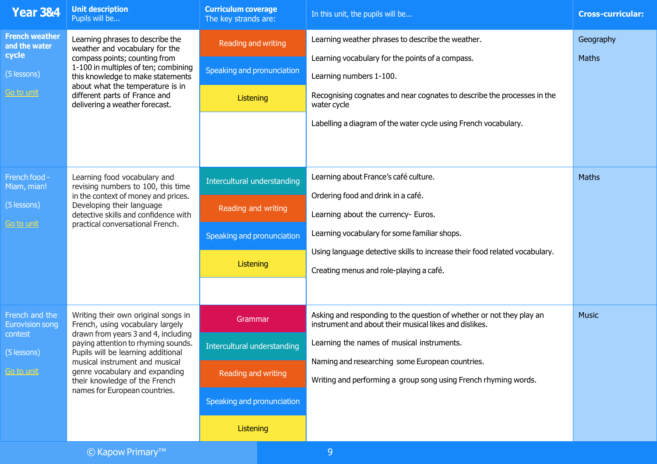| <b>Year 3&amp;4</b>                                                                 | <b>Unit description</b><br>Pupils will be                                                                                                                                                                                                                                                                                         | <b>Curriculum coverage</b><br>The key strands are:                                                       | In this unit, the pupils will be                                                                                                                                                                                                                                                                   | <b>Cross-curricular:</b>  |
|-------------------------------------------------------------------------------------|-----------------------------------------------------------------------------------------------------------------------------------------------------------------------------------------------------------------------------------------------------------------------------------------------------------------------------------|----------------------------------------------------------------------------------------------------------|----------------------------------------------------------------------------------------------------------------------------------------------------------------------------------------------------------------------------------------------------------------------------------------------------|---------------------------|
| <b>French weather</b><br>and the water<br>cycle<br>(5 lessons)<br><u>Go to unit</u> | Learning phrases to describe the<br>weather and vocabulary for the<br>compass points; counting from<br>1-100 in multiples of ten; combining<br>this knowledge to make statements<br>about what the temperature is in<br>different parts of France and<br>delivering a weather forecast.                                           | Reading and writing<br>Speaking and pronunciation<br>Listening                                           | Learning weather phrases to describe the weather.<br>Learning vocabulary for the points of a compass.<br>Learning numbers 1-100.<br>Recognising cognates and near cognates to describe the processes in the<br>water cycle<br>Labelling a diagram of the water cycle using French vocabulary.      | Geography<br><b>Maths</b> |
| French food -<br>Miam, mian!<br>(5 lessons)<br><u>Go to unit</u>                    | Learning food vocabulary and<br>revising numbers to 100, this time<br>in the context of money and prices.<br>Developing their language<br>detective skills and confidence with<br>practical conversational French.                                                                                                                | Intercultural understanding<br>Reading and writing<br>Speaking and pronunciation<br>Listening            | Learning about France's café culture.<br>Ordering food and drink in a café.<br>Learning about the currency- Euros.<br>Learning vocabulary for some familiar shops.<br>Using language detective skills to increase their food related vocabulary.<br>Creating menus and role-playing a café.        | Maths                     |
| French and the<br><b>Eurovision song</b><br>contest<br>(5 lessons)<br>Go to unit    | Writing their own original songs in<br>French, using vocabulary largely<br>drawn from years 3 and 4, including<br>paying attention to rhyming sounds.<br>Pupils will be learning additional<br>musical instrument and musical<br>genre vocabulary and expanding<br>their knowledge of the French<br>names for European countries. | Grammar<br>Intercultural understanding<br>Reading and writing<br>Speaking and pronunciation<br>Listening | Asking and responding to the question of whether or not they play an<br>instrument and about their musical likes and dislikes.<br>Learning the names of musical instruments.<br>Naming and researching some European countries.<br>Writing and performing a group song using French rhyming words. | <b>Music</b>              |
|                                                                                     | © Kapow Primary <sup>™</sup>                                                                                                                                                                                                                                                                                                      |                                                                                                          | 9                                                                                                                                                                                                                                                                                                  |                           |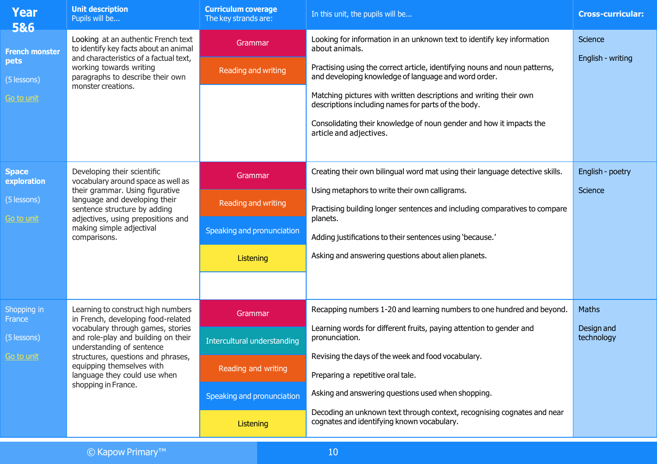| <b>Year</b><br>5&6                                                | <b>Unit description</b><br>Pupils will be                                                                                                                                                                                                                                                                   | <b>Curriculum coverage</b><br>The key strands are:                                                       | In this unit, the pupils will be                                                                                                                                                                                                                                                                                                                                                                                                                             | <b>Cross-curricular:</b>                 |
|-------------------------------------------------------------------|-------------------------------------------------------------------------------------------------------------------------------------------------------------------------------------------------------------------------------------------------------------------------------------------------------------|----------------------------------------------------------------------------------------------------------|--------------------------------------------------------------------------------------------------------------------------------------------------------------------------------------------------------------------------------------------------------------------------------------------------------------------------------------------------------------------------------------------------------------------------------------------------------------|------------------------------------------|
| <b>French monster</b><br>pets<br>(5 lessons)<br><u>Go to unit</u> | Looking at an authentic French text<br>to identify key facts about an animal<br>and characteristics of a factual text,<br>working towards writing<br>paragraphs to describe their own<br>monster creations.                                                                                                 | Grammar<br>Reading and writing                                                                           | Looking for information in an unknown text to identify key information<br>about animals.<br>Practising using the correct article, identifying nouns and noun patterns,<br>and developing knowledge of language and word order.<br>Matching pictures with written descriptions and writing their own<br>descriptions including names for parts of the body.<br>Consolidating their knowledge of noun gender and how it impacts the<br>article and adjectives. | Science<br>English - writing             |
| <b>Space</b><br>exploration<br>(5 lessons)<br><u>Go to unit</u>   | Developing their scientific<br>vocabulary around space as well as<br>their grammar. Using figurative<br>language and developing their<br>sentence structure by adding<br>adjectives, using prepositions and<br>making simple adjectival<br>comparisons.                                                     | Grammar<br>Reading and writing<br>Speaking and pronunciation<br>Listening                                | Creating their own bilingual word mat using their language detective skills.<br>Using metaphors to write their own calligrams.<br>Practising building longer sentences and including comparatives to compare<br>planets.<br>Adding justifications to their sentences using 'because.'<br>Asking and answering questions about alien planets.                                                                                                                 | English - poetry<br>Science              |
| Shopping in<br><b>France</b><br>(5 lessons)<br><u>Go to unit</u>  | Learning to construct high numbers<br>in French, developing food-related<br>vocabulary through games, stories<br>and role-play and building on their<br>understanding of sentence<br>structures, questions and phrases,<br>equipping themselves with<br>language they could use when<br>shopping in France. | Grammar<br>Intercultural understanding<br>Reading and writing<br>Speaking and pronunciation<br>Listening | Recapping numbers 1-20 and learning numbers to one hundred and beyond.<br>Learning words for different fruits, paying attention to gender and<br>pronunciation.<br>Revising the days of the week and food vocabulary.<br>Preparing a repetitive oral tale.<br>Asking and answering questions used when shopping.<br>Decoding an unknown text through context, recognising cognates and near<br>cognates and identifying known vocabulary.                    | <b>Maths</b><br>Design and<br>technology |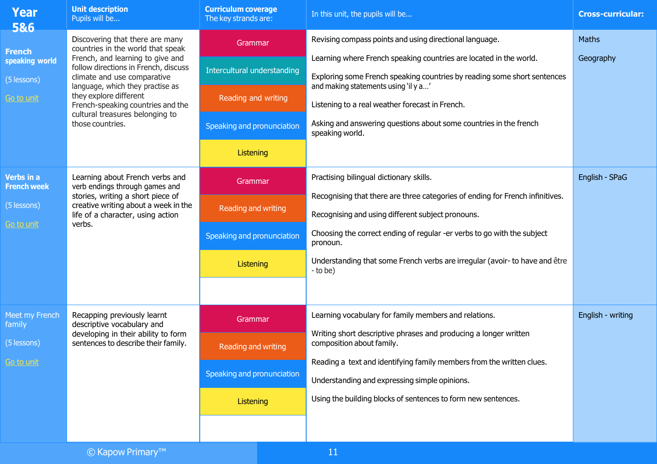| <b>Year</b><br>5&6                                                  | <b>Unit description</b><br>Pupils will be                                                                                                                                                                                                                                                                                                 | <b>Curriculum coverage</b><br>The key strands are:                                                       | In this unit, the pupils will be                                                                                                                                                                                                                                                                                                                                                             | <b>Cross-curricular:</b> |
|---------------------------------------------------------------------|-------------------------------------------------------------------------------------------------------------------------------------------------------------------------------------------------------------------------------------------------------------------------------------------------------------------------------------------|----------------------------------------------------------------------------------------------------------|----------------------------------------------------------------------------------------------------------------------------------------------------------------------------------------------------------------------------------------------------------------------------------------------------------------------------------------------------------------------------------------------|--------------------------|
| <b>French</b><br>speaking world<br>(5 lessons)<br><u>Go to unit</u> | Discovering that there are many<br>countries in the world that speak<br>French, and learning to give and<br>follow directions in French, discuss<br>climate and use comparative<br>language, which they practise as<br>they explore different<br>French-speaking countries and the<br>cultural treasures belonging to<br>those countries. | Grammar<br>Intercultural understanding<br>Reading and writing<br>Speaking and pronunciation<br>Listening | Revising compass points and using directional language.<br>Learning where French speaking countries are located in the world.<br>Exploring some French speaking countries by reading some short sentences<br>and making statements using 'il y a'<br>Listening to a real weather forecast in French.<br>Asking and answering questions about some countries in the french<br>speaking world. | Maths<br>Geography       |
| Verbs in a<br><b>French week</b><br>(5 lessons)<br>Go to unit       | Learning about French verbs and<br>verb endings through games and<br>stories, writing a short piece of<br>creative writing about a week in the<br>life of a character, using action<br>verbs.                                                                                                                                             | Grammar<br>Reading and writing<br>Speaking and pronunciation<br><b>Listening</b>                         | Practising bilingual dictionary skills.<br>Recognising that there are three categories of ending for French infinitives.<br>Recognising and using different subject pronouns.<br>Choosing the correct ending of regular -er verbs to go with the subject<br>pronoun.<br>Understanding that some French verbs are irregular (avoir- to have and être<br>- to be)                              | English - SPaG           |
| Meet my French<br>family<br>(5 lessons)<br>Go to unit               | Recapping previously learnt<br>descriptive vocabulary and<br>developing in their ability to form<br>sentences to describe their family.                                                                                                                                                                                                   | Grammar<br>Reading and writing<br>Speaking and pronunciation<br><b>Listening</b>                         | Learning vocabulary for family members and relations.<br>Writing short descriptive phrases and producing a longer written<br>composition about family.<br>Reading a text and identifying family members from the written clues.<br>Understanding and expressing simple opinions.<br>Using the building blocks of sentences to form new sentences.                                            | English - writing        |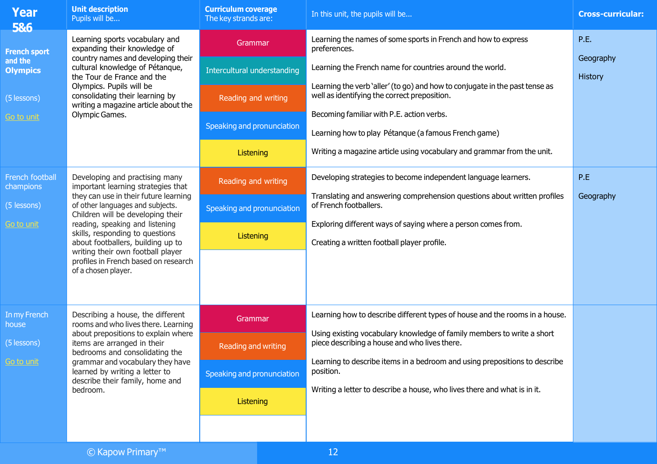| <b>Year</b><br>586                                       | <b>Unit description</b><br>Pupils will be                                                                                                                                                                                                                                                             | <b>Curriculum coverage</b><br>The key strands are:                                                                              | In this unit, the pupils will be                                                                                                                                                                                   | <b>Cross-curricular:</b>                                                                                     |         |
|----------------------------------------------------------|-------------------------------------------------------------------------------------------------------------------------------------------------------------------------------------------------------------------------------------------------------------------------------------------------------|---------------------------------------------------------------------------------------------------------------------------------|--------------------------------------------------------------------------------------------------------------------------------------------------------------------------------------------------------------------|--------------------------------------------------------------------------------------------------------------|---------|
| expanding their knowledge of<br><b>French sport</b>      | Learning sports vocabulary and<br>country names and developing their                                                                                                                                                                                                                                  | Grammar                                                                                                                         | Learning the names of some sports in French and how to express<br>preferences.                                                                                                                                     | <b>P.E.</b><br>Geography                                                                                     |         |
| and the<br><b>Olympics</b>                               | cultural knowledge of Pétanque,<br>the Tour de France and the<br>Olympics. Pupils will be<br>consolidating their learning by<br>writing a magazine article about the<br>Olympic Games.                                                                                                                |                                                                                                                                 | Intercultural understanding                                                                                                                                                                                        | Learning the French name for countries around the world.                                                     | History |
| (5 lessons)                                              |                                                                                                                                                                                                                                                                                                       | Reading and writing                                                                                                             | Learning the verb 'aller' (to go) and how to conjugate in the past tense as<br>well as identifying the correct preposition.                                                                                        |                                                                                                              |         |
| <u>Go to unit</u>                                        |                                                                                                                                                                                                                                                                                                       | Becoming familiar with P.E. action verbs.<br>Speaking and pronunciation<br>Learning how to play Pétanque (a famous French game) |                                                                                                                                                                                                                    |                                                                                                              |         |
|                                                          |                                                                                                                                                                                                                                                                                                       | Listening                                                                                                                       | Writing a magazine article using vocabulary and grammar from the unit.                                                                                                                                             |                                                                                                              |         |
| French football<br>champions                             | Developing and practising many<br>important learning strategies that                                                                                                                                                                                                                                  | Reading and writing                                                                                                             | Developing strategies to become independent language learners.                                                                                                                                                     | P.E<br>Geography                                                                                             |         |
| (5 lessons)                                              | they can use in their future learning<br>of other languages and subjects.<br>Children will be developing their<br>reading, speaking and listening<br>skills, responding to questions<br>about footballers, building up to                                                                             | <b>Speaking and pronunciation</b>                                                                                               | Translating and answering comprehension questions about written profiles<br>of French footballers.                                                                                                                 |                                                                                                              |         |
| <u>Go to unit</u>                                        |                                                                                                                                                                                                                                                                                                       |                                                                                                                                 | Listening                                                                                                                                                                                                          | Exploring different ways of saying where a person comes from.<br>Creating a written football player profile. |         |
| writing their own football player<br>of a chosen player. | profiles in French based on research                                                                                                                                                                                                                                                                  |                                                                                                                                 |                                                                                                                                                                                                                    |                                                                                                              |         |
|                                                          |                                                                                                                                                                                                                                                                                                       |                                                                                                                                 |                                                                                                                                                                                                                    |                                                                                                              |         |
| In my French<br>house                                    | Describing a house, the different<br>rooms and who lives there. Learning<br>about prepositions to explain where<br>items are arranged in their<br>bedrooms and consolidating the<br>grammar and vocabulary they have<br>learned by writing a letter to<br>describe their family, home and<br>bedroom. | Grammar                                                                                                                         | Learning how to describe different types of house and the rooms in a house.                                                                                                                                        |                                                                                                              |         |
| (5 lessons)                                              |                                                                                                                                                                                                                                                                                                       | <b>Reading and writing</b>                                                                                                      | Using existing vocabulary knowledge of family members to write a short<br>piece describing a house and who lives there.<br>Learning to describe items in a bedroom and using prepositions to describe<br>position. |                                                                                                              |         |
| Go to unit                                               |                                                                                                                                                                                                                                                                                                       | Speaking and pronunciation                                                                                                      |                                                                                                                                                                                                                    |                                                                                                              |         |
|                                                          |                                                                                                                                                                                                                                                                                                       | Listening                                                                                                                       | Writing a letter to describe a house, who lives there and what is in it.                                                                                                                                           |                                                                                                              |         |
|                                                          |                                                                                                                                                                                                                                                                                                       |                                                                                                                                 |                                                                                                                                                                                                                    |                                                                                                              |         |